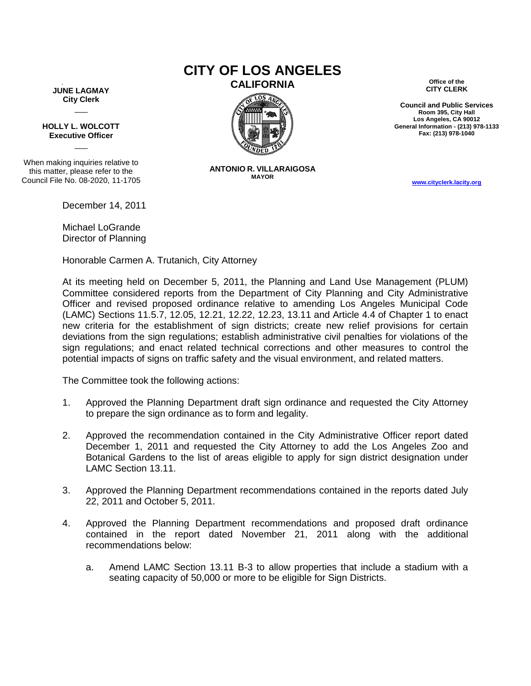**JUNE LAGMAY City Clerk**  $\overline{\phantom{a}}$ 

**HOLLY L. WOLCOTT Executive Officer**  $\overline{\phantom{a}}$ 

When making inquiries relative to this matter, please refer to the Council File No. 08-2020, 11-1705

December 14, 2011

Michael LoGrande Director of Planning

Honorable Carmen A. Trutanich, City Attorney

## At its meeting held on December 5, 2011, the Planning and Land Use Management (PLUM) Committee considered reports from the Department of City Planning and City Administrative Officer and revised proposed ordinance relative to amending Los Angeles Municipal Code (LAMC) Sections 11.5.7, 12.05, 12.21, 12.22, 12.23, 13.11 and Article 4.4 of Chapter 1 to enact new criteria for the establishment of sign districts; create new relief provisions for certain deviations from the sign regulations; establish administrative civil penalties for violations of the

The Committee took the following actions:

1. Approved the Planning Department draft sign ordinance and requested the City Attorney to prepare the sign ordinance as to form and legality.

sign regulations; and enact related technical corrections and other measures to control the potential impacts of signs on traffic safety and the visual environment, and related matters.

- 2. Approved the recommendation contained in the City Administrative Officer report dated December 1, 2011 and requested the City Attorney to add the Los Angeles Zoo and Botanical Gardens to the list of areas eligible to apply for sign district designation under LAMC Section 13.11.
- 3. Approved the Planning Department recommendations contained in the reports dated July 22, 2011 and October 5, 2011.
- 4. Approved the Planning Department recommendations and proposed draft ordinance contained in the report dated November 21, 2011 along with the additional recommendations below:
	- a. Amend LAMC Section 13.11 B-3 to allow properties that include a stadium with a seating capacity of 50,000 or more to be eligible for Sign Districts.

## **CITY OF LOS ANGELES CALIFORNIA Office of the**



**ANTONIO R. VILLARAIGOSA MAYOR**

**CITY CLERK**

**Council and Public Services Room 395, City Hall Los Angeles, CA 90012 General Information - (213) 978-1133 Fax: (213) 978-1040**

**[www.cityclerk.lacity.org](http://www.cityclerk.lacity.org/)**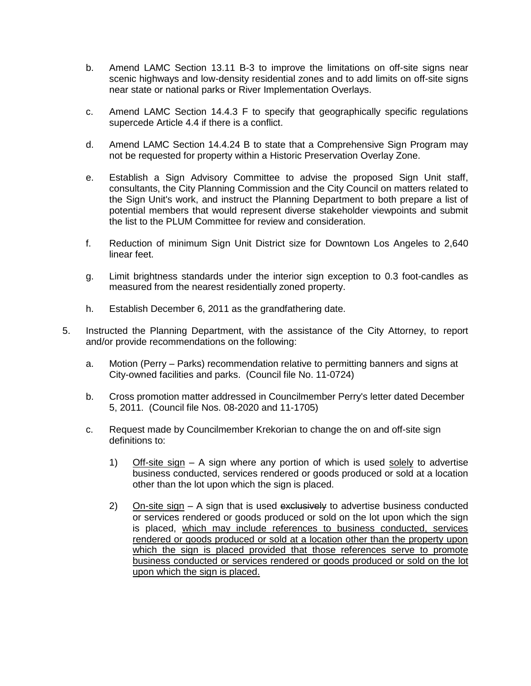- b. Amend LAMC Section 13.11 B-3 to improve the limitations on off-site signs near scenic highways and low-density residential zones and to add limits on off-site signs near state or national parks or River Implementation Overlays.
- c. Amend LAMC Section 14.4.3 F to specify that geographically specific regulations supercede Article 4.4 if there is a conflict.
- d. Amend LAMC Section 14.4.24 B to state that a Comprehensive Sign Program may not be requested for property within a Historic Preservation Overlay Zone.
- e. Establish a Sign Advisory Committee to advise the proposed Sign Unit staff, consultants, the City Planning Commission and the City Council on matters related to the Sign Unit's work, and instruct the Planning Department to both prepare a list of potential members that would represent diverse stakeholder viewpoints and submit the list to the PLUM Committee for review and consideration.
- f. Reduction of minimum Sign Unit District size for Downtown Los Angeles to 2,640 linear feet.
- g. Limit brightness standards under the interior sign exception to 0.3 foot-candles as measured from the nearest residentially zoned property.
- h. Establish December 6, 2011 as the grandfathering date.
- 5. Instructed the Planning Department, with the assistance of the City Attorney, to report and/or provide recommendations on the following:
	- a. Motion (Perry Parks) recommendation relative to permitting banners and signs at City-owned facilities and parks. (Council file No. 11-0724)
	- b. Cross promotion matter addressed in Councilmember Perry's letter dated December 5, 2011. (Council file Nos. 08-2020 and 11-1705)
	- c. Request made by Councilmember Krekorian to change the on and off-site sign definitions to:
		- 1) Off-site sign A sign where any portion of which is used solely to advertise business conducted, services rendered or goods produced or sold at a location other than the lot upon which the sign is placed.
		- 2) On-site sign  $A$  sign that is used exclusively to advertise business conducted or services rendered or goods produced or sold on the lot upon which the sign is placed, which may include references to business conducted, services rendered or goods produced or sold at a location other than the property upon which the sign is placed provided that those references serve to promote business conducted or services rendered or goods produced or sold on the lot upon which the sign is placed.